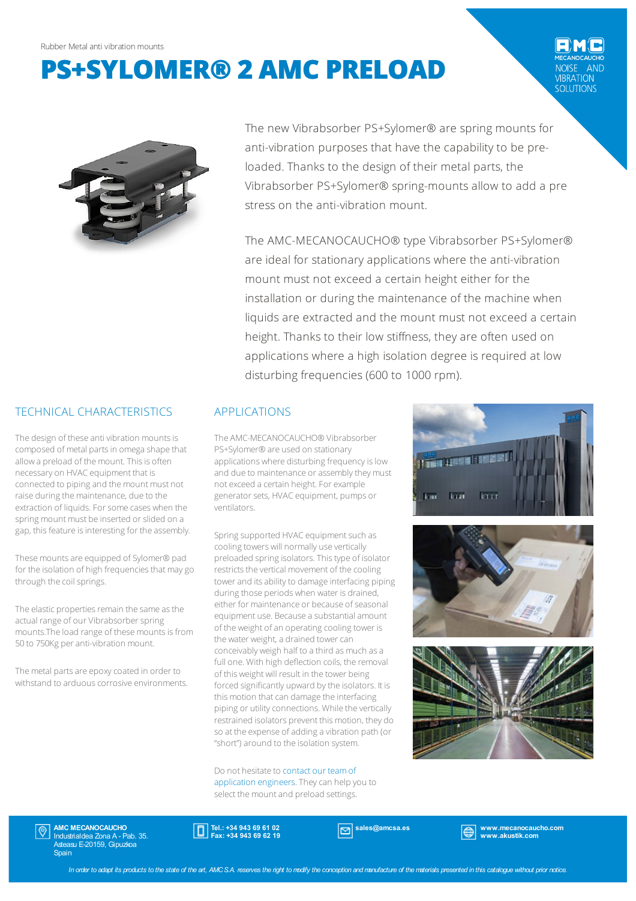# **PS+SYLOMER® 2 AMC PRELOAD**

**IBRATION** SOLUTIONS



The new Vibrabsorber PS+Sylomer® are spring mounts for anti-vibration purposes that have the capability to be preloaded. Thanks to the design of their metal parts, the Vibrabsorber PS+Sylomer® spring-mounts allow to add a pre stress on the anti-vibration mount.

The AMC-MECANOCAUCHO® type Vibrabsorber PS+Sylomer® are ideal for stationary applications where the anti-vibration mount must not exceed a certain height either for the installation or during the maintenance of the machine when liquids are extracted and the mount must not exceed a certain height. Thanks to their low stiffness, they are often used on applications where a high isolation degree is required at low disturbing frequencies (600 to 1000 rpm).

## TECHNICAL CHARACTERISTICS

The design of these anti vibration mounts is composed of metal parts in omega shape that allow a preload of the mount. This is often necessary on HVAC equipment that is connected to piping and the mount must not raise during the maintenance, due to the extraction of liquids. For some cases when the spring mount must be inserted or slided on a gap, this feature is interesting for the assembly.

These mounts are equipped of Sylomer® pad for the isolation of high frequencies that may go through the coil springs.

The elastic properties remain the same as the actual range of our Vibrabsorber spring mounts. The load range of these mounts is from 50 to 750Kg peranti-vibration mount.

The metal parts are epoxy coated in order to withstand to arduous corrosive environments.

#### APPLICATIONS

The AMC-MECANOCAUCHO® Vibrabsorber PS+Sylomer® are used on stationary applications where disturbing frequency is low and due to maintenance or assembly they must not exceed a certain height. For example generator sets, HVAC equipment, pumps or ventilators.

Spring supported HVAC equipment such as cooling towers will normally use vertically preloaded spring isolators. This type of isolator restricts the vertical movement of the cooling tower and its ability to damage interfacing piping during those periods when water is drained, either for maintenance or because of seasonal equipment use. Because a substantial amount of the weight of an operating cooling tower is the water weight, a drained tower can conceivably weigh half to a third as much as a full one. With high deflection coils, the removal of this weight will result in the tower being forced significantly upward by the isolators. It is this motion that can damage the interfacing piping or utility connections. While the vertically restrained isolators prevent this motion, they do so at the expense of adding a vibration path (or "short") around to the isolation system.

Do not hesitate to contact our teamof application engineers. They can help you to select the mount and preload settings.







AMC MECANOCAUCHO Industrialdea Zona A - Pab. 35. Asteasu E-20159, Gipuzkoa **Spain** 

Tel.: +34 943 69 61 02 Fax: +34 943 69 62 19

sales@amcsa.es and www.mecanocaucho.com www.akustik.com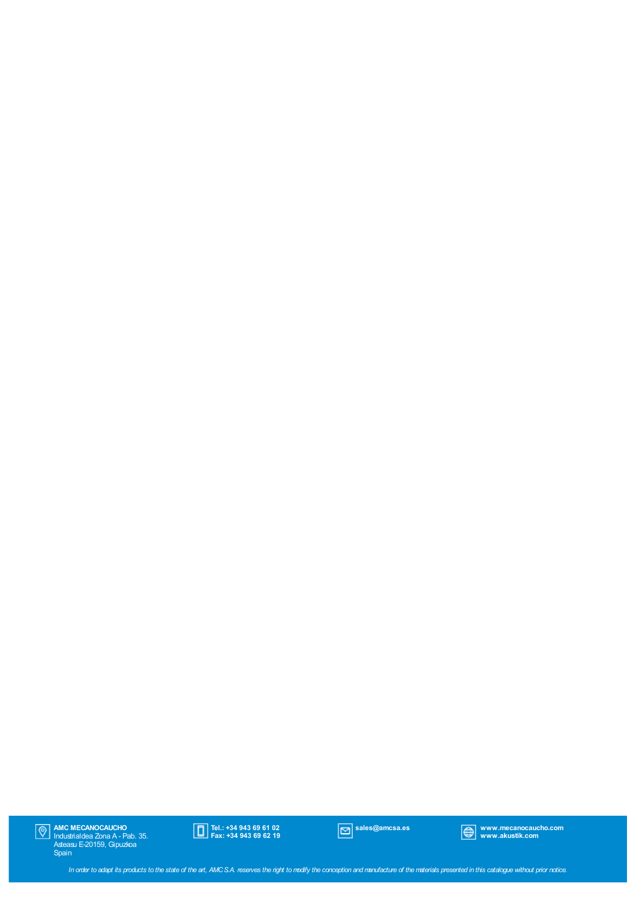AMC MECANOCAUCHO Industrialdea Zona A - Pab. 35. Asteasu E-20159, Gipuzkoa Spain



sales@amcsa.es www.mecanocaucho.com www.akustik.com

In order to adapt its products to the state of the art, AMCS.A. reserves the right to modify the conception and manufacture of the materials presented in this catalogue without prior notice.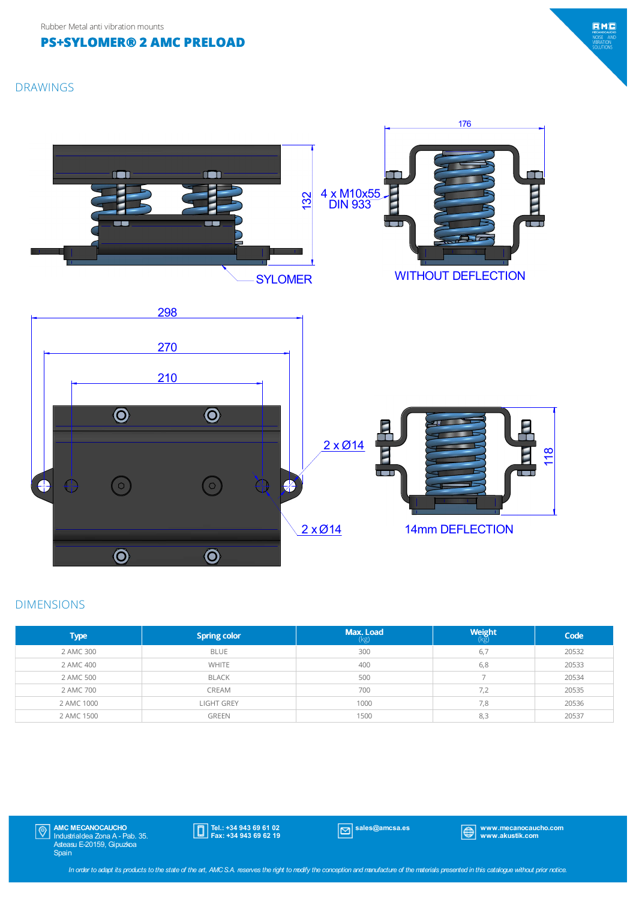

## **PS+SYLOMER® 2 AMC PRELOAD**

#### DRAWINGS



#### DIMENSIONS

| <b>Type</b> | <b>Spring color</b> | Max. Load<br>(kg) | <b>Weight</b> | Code  |
|-------------|---------------------|-------------------|---------------|-------|
| 2 AMC 300   | <b>BLUE</b>         | 300               | 6,7           | 20532 |
| 2 AMC 400   | <b>WHITE</b>        | 400               | 6,8           | 20533 |
| 2 AMC 500   | <b>BLACK</b>        | 500               |               | 20534 |
| 2 AMC 700   | CREAM               | 700               | 7,2           | 20535 |
| 2 AMC 1000  | <b>LIGHT GREY</b>   | 1000              | 7,8           | 20536 |
| 2 AMC 1500  | <b>GREEN</b>        | 1500              | 8,3           | 20537 |

AMC MECANOCAUCHO Industrialdea Zona A - Pab. 35. Asteasu E-20159, Gipuzkoa Spain

Tel.: +34 943 69 61 02 Fax: +34 943 69 62 19

sales@amcsa.es www.mecanocaucho.com www.akustik.com